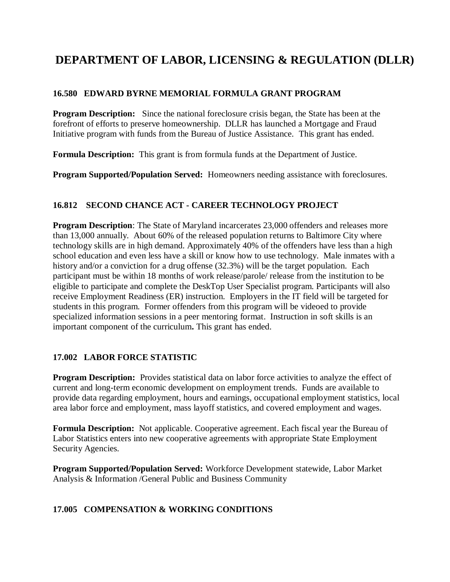# **DEPARTMENT OF LABOR, LICENSING & REGULATION (DLLR)**

#### **16.580 EDWARD BYRNE MEMORIAL FORMULA GRANT PROGRAM**

**Program Description:** Since the national foreclosure crisis began, the State has been at the forefront of efforts to preserve homeownership. DLLR has launched a Mortgage and Fraud Initiative program with funds from the Bureau of Justice Assistance. This grant has ended.

**Formula Description:** This grant is from formula funds at the Department of Justice.

**Program Supported/Population Served:** Homeowners needing assistance with foreclosures.

#### **16.812 SECOND CHANCE ACT - CAREER TECHNOLOGY PROJECT**

**Program Description**: The State of Maryland incarcerates 23,000 offenders and releases more than 13,000 annually. About 60% of the released population returns to Baltimore City where technology skills are in high demand. Approximately 40% of the offenders have less than a high school education and even less have a skill or know how to use technology. Male inmates with a history and/or a conviction for a drug offense (32.3%) will be the target population. Each participant must be within 18 months of work release/parole/ release from the institution to be eligible to participate and complete the DeskTop User Specialist program. Participants will also receive Employment Readiness (ER) instruction. Employers in the IT field will be targeted for students in this program. Former offenders from this program will be videoed to provide specialized information sessions in a peer mentoring format. Instruction in soft skills is an important component of the curriculum**.** This grant has ended.

#### **17.002 LABOR FORCE STATISTIC**

**Program Description:** Provides statistical data on labor force activities to analyze the effect of current and long-term economic development on employment trends. Funds are available to provide data regarding employment, hours and earnings, occupational employment statistics, local area labor force and employment, mass layoff statistics, and covered employment and wages.

**Formula Description:** Not applicable. Cooperative agreement. Each fiscal year the Bureau of Labor Statistics enters into new cooperative agreements with appropriate State Employment Security Agencies.

**Program Supported/Population Served:** Workforce Development statewide, Labor Market Analysis & Information /General Public and Business Community

#### **17.005 COMPENSATION & WORKING CONDITIONS**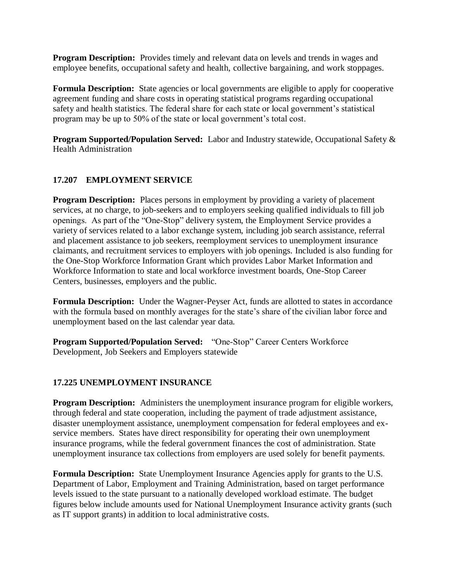**Program Description:** Provides timely and relevant data on levels and trends in wages and employee benefits, occupational safety and health, collective bargaining, and work stoppages.

**Formula Description:** State agencies or local governments are eligible to apply for cooperative agreement funding and share costs in operating statistical programs regarding occupational safety and health statistics. The federal share for each state or local government's statistical program may be up to 50% of the state or local government's total cost.

**Program Supported/Population Served:** Labor and Industry statewide, Occupational Safety & Health Administration

#### **17.207 EMPLOYMENT SERVICE**

**Program Description:** Places persons in employment by providing a variety of placement services, at no charge, to job-seekers and to employers seeking qualified individuals to fill job openings. As part of the "One-Stop" delivery system, the Employment Service provides a variety of services related to a labor exchange system, including job search assistance, referral and placement assistance to job seekers, reemployment services to unemployment insurance claimants, and recruitment services to employers with job openings. Included is also funding for the One-Stop Workforce Information Grant which provides Labor Market Information and Workforce Information to state and local workforce investment boards, One-Stop Career Centers, businesses, employers and the public.

**Formula Description:** Under the Wagner-Peyser Act, funds are allotted to states in accordance with the formula based on monthly averages for the state's share of the civilian labor force and unemployment based on the last calendar year data.

**Program Supported/Population Served:** "One-Stop" Career Centers Workforce Development, Job Seekers and Employers statewide

#### **17.225 UNEMPLOYMENT INSURANCE**

**Program Description:** Administers the unemployment insurance program for eligible workers, through federal and state cooperation, including the payment of trade adjustment assistance, disaster unemployment assistance, unemployment compensation for federal employees and exservice members. States have direct responsibility for operating their own unemployment insurance programs, while the federal government finances the cost of administration. State unemployment insurance tax collections from employers are used solely for benefit payments.

**Formula Description:** State Unemployment Insurance Agencies apply for grants to the U.S. Department of Labor, Employment and Training Administration, based on target performance levels issued to the state pursuant to a nationally developed workload estimate. The budget figures below include amounts used for National Unemployment Insurance activity grants (such as IT support grants) in addition to local administrative costs.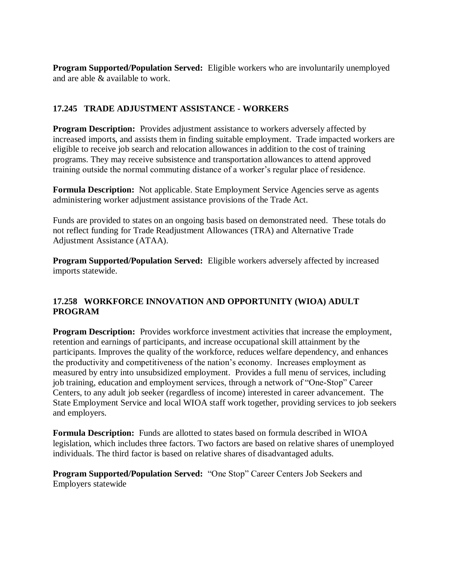**Program Supported/Population Served:** Eligible workers who are involuntarily unemployed and are able & available to work.

## **17.245 TRADE ADJUSTMENT ASSISTANCE - WORKERS**

**Program Description:** Provides adjustment assistance to workers adversely affected by increased imports, and assists them in finding suitable employment. Trade impacted workers are eligible to receive job search and relocation allowances in addition to the cost of training programs. They may receive subsistence and transportation allowances to attend approved training outside the normal commuting distance of a worker's regular place of residence.

**Formula Description:** Not applicable. State Employment Service Agencies serve as agents administering worker adjustment assistance provisions of the Trade Act.

Funds are provided to states on an ongoing basis based on demonstrated need. These totals do not reflect funding for Trade Readjustment Allowances (TRA) and Alternative Trade Adjustment Assistance (ATAA).

**Program Supported/Population Served:** Eligible workers adversely affected by increased imports statewide.

#### **17.258 WORKFORCE INNOVATION AND OPPORTUNITY (WIOA) ADULT PROGRAM**

**Program Description:** Provides workforce investment activities that increase the employment, retention and earnings of participants, and increase occupational skill attainment by the participants. Improves the quality of the workforce, reduces welfare dependency, and enhances the productivity and competitiveness of the nation's economy. Increases employment as measured by entry into unsubsidized employment. Provides a full menu of services, including job training, education and employment services, through a network of "One-Stop" Career Centers, to any adult job seeker (regardless of income) interested in career advancement. The State Employment Service and local WIOA staff work together, providing services to job seekers and employers.

**Formula Description:** Funds are allotted to states based on formula described in WIOA legislation, which includes three factors. Two factors are based on relative shares of unemployed individuals. The third factor is based on relative shares of disadvantaged adults.

**Program Supported/Population Served:** "One Stop" Career Centers Job Seekers and Employers statewide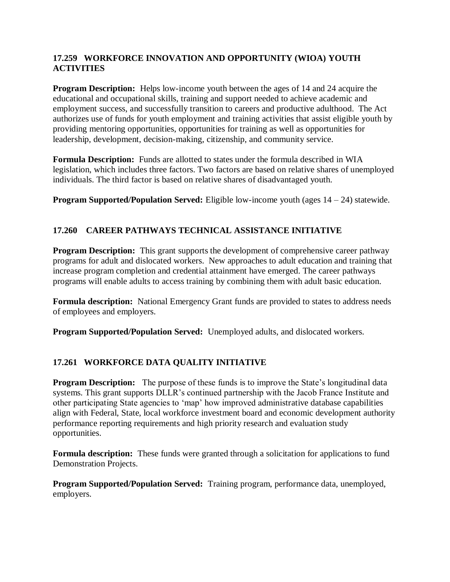#### **17.259 WORKFORCE INNOVATION AND OPPORTUNITY (WIOA) YOUTH ACTIVITIES**

**Program Description:** Helps low-income youth between the ages of 14 and 24 acquire the educational and occupational skills, training and support needed to achieve academic and employment success, and successfully transition to careers and productive adulthood. The Act authorizes use of funds for youth employment and training activities that assist eligible youth by providing mentoring opportunities, opportunities for training as well as opportunities for leadership, development, decision-making, citizenship, and community service.

**Formula Description:** Funds are allotted to states under the formula described in WIA legislation, which includes three factors. Two factors are based on relative shares of unemployed individuals. The third factor is based on relative shares of disadvantaged youth.

**Program Supported/Population Served:** Eligible low-income youth (ages  $14 - 24$ ) statewide.

# **17.260 CAREER PATHWAYS TECHNICAL ASSISTANCE INITIATIVE**

**Program Description:** This grant supports the development of comprehensive career pathway programs for adult and dislocated workers. New approaches to adult education and training that increase program completion and credential attainment have emerged. The career pathways programs will enable adults to access training by combining them with adult basic education.

**Formula description:** National Emergency Grant funds are provided to states to address needs of employees and employers.

**Program Supported/Population Served:** Unemployed adults, and dislocated workers.

# **17.261 WORKFORCE DATA QUALITY INITIATIVE**

**Program Description:** The purpose of these funds is to improve the State's longitudinal data systems. This grant supports DLLR's continued partnership with the Jacob France Institute and other participating State agencies to 'map' how improved administrative database capabilities align with Federal, State, local workforce investment board and economic development authority performance reporting requirements and high priority research and evaluation study opportunities.

**Formula description:** These funds were granted through a solicitation for applications to fund Demonstration Projects.

**Program Supported/Population Served:** Training program, performance data, unemployed, employers.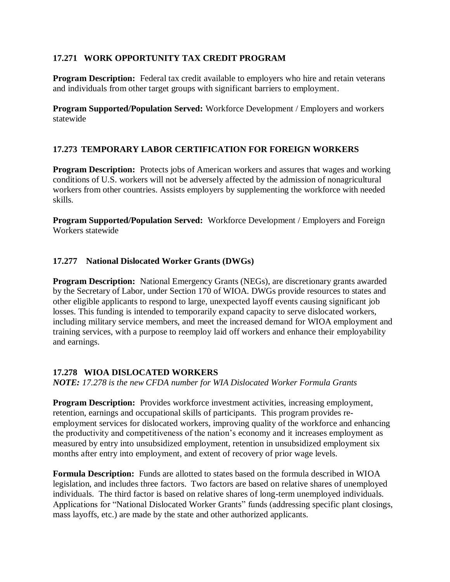#### **17.271 WORK OPPORTUNITY TAX CREDIT PROGRAM**

**Program Description:** Federal tax credit available to employers who hire and retain veterans and individuals from other target groups with significant barriers to employment.

**Program Supported/Population Served:** Workforce Development / Employers and workers statewide

# **17.273 TEMPORARY LABOR CERTIFICATION FOR FOREIGN WORKERS**

**Program Description:** Protects jobs of American workers and assures that wages and working conditions of U.S. workers will not be adversely affected by the admission of nonagricultural workers from other countries. Assists employers by supplementing the workforce with needed skills.

**Program Supported/Population Served:** Workforce Development / Employers and Foreign Workers statewide

#### **17.277 National Dislocated Worker Grants (DWGs)**

**Program Description:** National Emergency Grants (NEGs), are discretionary grants awarded by the Secretary of Labor, under Section 170 of WIOA. DWGs provide resources to states and other eligible applicants to respond to large, unexpected layoff events causing significant job losses. This funding is intended to temporarily expand capacity to serve dislocated workers, including military service members, and meet the increased demand for WIOA employment and training services, with a purpose to reemploy laid off workers and enhance their employability and earnings.

#### **17.278 WIOA DISLOCATED WORKERS**

*NOTE: 17.278 is the new CFDA number for WIA Dislocated Worker Formula Grants*

**Program Description:** Provides workforce investment activities, increasing employment, retention, earnings and occupational skills of participants. This program provides reemployment services for dislocated workers, improving quality of the workforce and enhancing the productivity and competitiveness of the nation's economy and it increases employment as measured by entry into unsubsidized employment, retention in unsubsidized employment six months after entry into employment, and extent of recovery of prior wage levels.

**Formula Description:** Funds are allotted to states based on the formula described in WIOA legislation, and includes three factors. Two factors are based on relative shares of unemployed individuals. The third factor is based on relative shares of long-term unemployed individuals. Applications for "National Dislocated Worker Grants" funds (addressing specific plant closings, mass layoffs, etc.) are made by the state and other authorized applicants.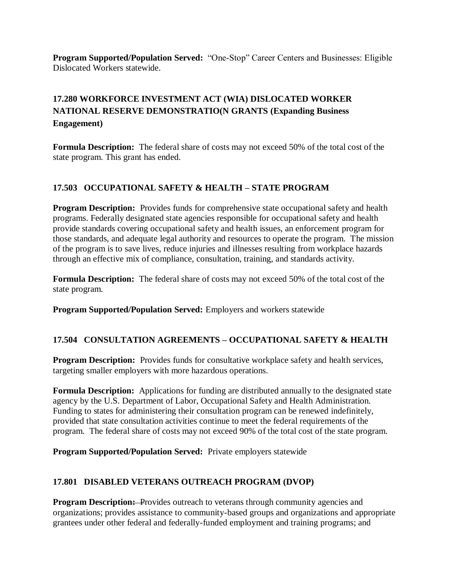**Program Supported/Population Served:** "One-Stop" Career Centers and Businesses: Eligible Dislocated Workers statewide.

# **17.280 WORKFORCE INVESTMENT ACT (WIA) DISLOCATED WORKER NATIONAL RESERVE DEMONSTRATIO(N GRANTS (Expanding Business Engagement)**

**Formula Description:** The federal share of costs may not exceed 50% of the total cost of the state program. This grant has ended.

# **17.503 OCCUPATIONAL SAFETY & HEALTH – STATE PROGRAM**

**Program Description:** Provides funds for comprehensive state occupational safety and health programs. Federally designated state agencies responsible for occupational safety and health provide standards covering occupational safety and health issues, an enforcement program for those standards, and adequate legal authority and resources to operate the program. The mission of the program is to save lives, reduce injuries and illnesses resulting from workplace hazards through an effective mix of compliance, consultation, training, and standards activity.

**Formula Description:** The federal share of costs may not exceed 50% of the total cost of the state program.

**Program Supported/Population Served:** Employers and workers statewide

# **17.504 CONSULTATION AGREEMENTS – OCCUPATIONAL SAFETY & HEALTH**

**Program Description:** Provides funds for consultative workplace safety and health services, targeting smaller employers with more hazardous operations.

**Formula Description:** Applications for funding are distributed annually to the designated state agency by the U.S. Department of Labor, Occupational Safety and Health Administration. Funding to states for administering their consultation program can be renewed indefinitely, provided that state consultation activities continue to meet the federal requirements of the program. The federal share of costs may not exceed 90% of the total cost of the state program.

**Program Supported/Population Served:** Private employers statewide

# **17.801 DISABLED VETERANS OUTREACH PROGRAM (DVOP)**

**Program Description:** Provides outreach to veterans through community agencies and organizations; provides assistance to community-based groups and organizations and appropriate grantees under other federal and federally-funded employment and training programs; and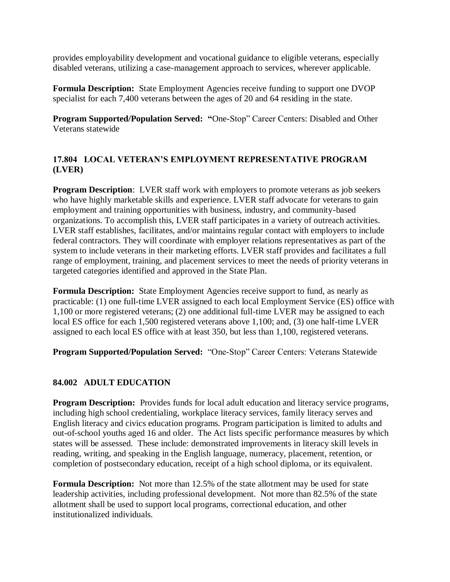provides employability development and vocational guidance to eligible veterans, especially disabled veterans, utilizing a case-management approach to services, wherever applicable.

**Formula Description:** State Employment Agencies receive funding to support one DVOP specialist for each 7,400 veterans between the ages of 20 and 64 residing in the state.

**Program Supported/Population Served: "**One-Stop" Career Centers: Disabled and Other Veterans statewide

#### **17.804 LOCAL VETERAN'S EMPLOYMENT REPRESENTATIVE PROGRAM (LVER)**

**Program Description**: LVER staff work with employers to promote veterans as job seekers who have highly marketable skills and experience. LVER staff advocate for veterans to gain employment and training opportunities with business, industry, and community-based organizations. To accomplish this, LVER staff participates in a variety of outreach activities. LVER staff establishes, facilitates, and/or maintains regular contact with employers to include federal contractors. They will coordinate with employer relations representatives as part of the system to include veterans in their marketing efforts. LVER staff provides and facilitates a full range of employment, training, and placement services to meet the needs of priority veterans in targeted categories identified and approved in the State Plan.

**Formula Description:** State Employment Agencies receive support to fund, as nearly as practicable: (1) one full-time LVER assigned to each local Employment Service (ES) office with 1,100 or more registered veterans; (2) one additional full-time LVER may be assigned to each local ES office for each 1,500 registered veterans above 1,100; and, (3) one half-time LVER assigned to each local ES office with at least 350, but less than 1,100, registered veterans.

**Program Supported/Population Served:** "One-Stop" Career Centers: Veterans Statewide

#### **84.002 ADULT EDUCATION**

**Program Description:** Provides funds for local adult education and literacy service programs, including high school credentialing, workplace literacy services, family literacy serves and English literacy and civics education programs. Program participation is limited to adults and out-of-school youths aged 16 and older. The Act lists specific performance measures by which states will be assessed. These include: demonstrated improvements in literacy skill levels in reading, writing, and speaking in the English language, numeracy, placement, retention, or completion of postsecondary education, receipt of a high school diploma, or its equivalent.

**Formula Description:** Not more than 12.5% of the state allotment may be used for state leadership activities, including professional development. Not more than 82.5% of the state allotment shall be used to support local programs, correctional education, and other institutionalized individuals.